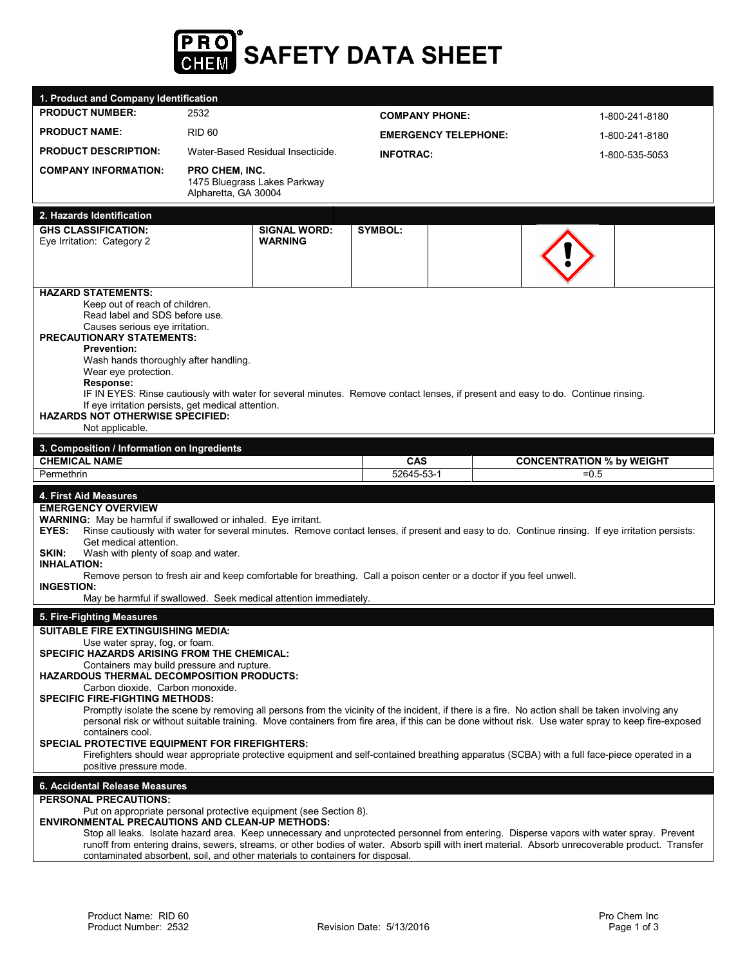

| 1. Product and Company Identification                                                                                                                                                                                                                                                                                                                                                                                                                                                                                                                                                                                                                                                             |                                                                               |                             |                                  |  |  |
|---------------------------------------------------------------------------------------------------------------------------------------------------------------------------------------------------------------------------------------------------------------------------------------------------------------------------------------------------------------------------------------------------------------------------------------------------------------------------------------------------------------------------------------------------------------------------------------------------------------------------------------------------------------------------------------------------|-------------------------------------------------------------------------------|-----------------------------|----------------------------------|--|--|
| <b>PRODUCT NUMBER:</b>                                                                                                                                                                                                                                                                                                                                                                                                                                                                                                                                                                                                                                                                            | 2532                                                                          | <b>COMPANY PHONE:</b>       | 1-800-241-8180                   |  |  |
| <b>PRODUCT NAME:</b>                                                                                                                                                                                                                                                                                                                                                                                                                                                                                                                                                                                                                                                                              | <b>RID 60</b>                                                                 | <b>EMERGENCY TELEPHONE:</b> | 1-800-241-8180                   |  |  |
| <b>PRODUCT DESCRIPTION:</b>                                                                                                                                                                                                                                                                                                                                                                                                                                                                                                                                                                                                                                                                       | Water-Based Residual Insecticide.                                             | <b>INFOTRAC:</b>            | 1-800-535-5053                   |  |  |
| <b>COMPANY INFORMATION:</b>                                                                                                                                                                                                                                                                                                                                                                                                                                                                                                                                                                                                                                                                       | <b>PRO CHEM, INC.</b><br>1475 Bluegrass Lakes Parkway<br>Alpharetta, GA 30004 |                             |                                  |  |  |
| 2. Hazards Identification                                                                                                                                                                                                                                                                                                                                                                                                                                                                                                                                                                                                                                                                         |                                                                               |                             |                                  |  |  |
| <b>GHS CLASSIFICATION:</b><br>Eye Irritation: Category 2                                                                                                                                                                                                                                                                                                                                                                                                                                                                                                                                                                                                                                          | <b>SIGNAL WORD:</b><br><b>WARNING</b>                                         | <b>SYMBOL:</b>              |                                  |  |  |
| <b>HAZARD STATEMENTS:</b><br>Keep out of reach of children.<br>Read label and SDS before use.<br>Causes serious eye irritation.<br><b>PRECAUTIONARY STATEMENTS:</b><br><b>Prevention:</b><br>Wash hands thoroughly after handling.<br>Wear eye protection.<br>Response:<br>IF IN EYES: Rinse cautiously with water for several minutes. Remove contact lenses, if present and easy to do. Continue rinsing.<br>If eye irritation persists, get medical attention.<br><b>HAZARDS NOT OTHERWISE SPECIFIED:</b><br>Not applicable.                                                                                                                                                                   |                                                                               |                             |                                  |  |  |
| 3. Composition / Information on Ingredients                                                                                                                                                                                                                                                                                                                                                                                                                                                                                                                                                                                                                                                       |                                                                               |                             |                                  |  |  |
| <b>CHEMICAL NAME</b>                                                                                                                                                                                                                                                                                                                                                                                                                                                                                                                                                                                                                                                                              |                                                                               | CAS                         | <b>CONCENTRATION % by WEIGHT</b> |  |  |
| Permethrin                                                                                                                                                                                                                                                                                                                                                                                                                                                                                                                                                                                                                                                                                        |                                                                               | 52645-53-1                  | $= 0.5$                          |  |  |
| 4. First Aid Measures<br><b>EMERGENCY OVERVIEW</b><br><b>WARNING:</b> May be harmful if swallowed or inhaled. Eye irritant.<br>Rinse cautiously with water for several minutes. Remove contact lenses, if present and easy to do. Continue rinsing. If eye irritation persists:<br><b>EYES:</b><br>Get medical attention.<br>SKIN:<br>Wash with plenty of soap and water.<br><b>INHALATION:</b><br>Remove person to fresh air and keep comfortable for breathing. Call a poison center or a doctor if you feel unwell.<br><b>INGESTION:</b><br>May be harmful if swallowed. Seek medical attention immediately.                                                                                   |                                                                               |                             |                                  |  |  |
| 5. Fire-Fighting Measures                                                                                                                                                                                                                                                                                                                                                                                                                                                                                                                                                                                                                                                                         |                                                                               |                             |                                  |  |  |
| SUITABLE FIRE EXTINGUISHING MEDIA:<br>Use water spray, fog, or foam.<br><b>SPECIFIC HAZARDS ARISING FROM THE CHEMICAL:</b><br>Containers may build pressure and rupture.<br><b>HAZARDOUS THERMAL DECOMPOSITION PRODUCTS:</b><br>Carbon dioxide. Carbon monoxide.<br><b>SPECIFIC FIRE-FIGHTING METHODS:</b><br>Promptly isolate the scene by removing all persons from the vicinity of the incident, if there is a fire. No action shall be taken involving any<br>personal risk or without suitable training. Move containers from fire area, if this can be done without risk. Use water spray to keep fire-exposed<br>containers cool.<br><b>SPECIAL PROTECTIVE EQUIPMENT FOR FIREFIGHTERS:</b> |                                                                               |                             |                                  |  |  |
| Firefighters should wear appropriate protective equipment and self-contained breathing apparatus (SCBA) with a full face-piece operated in a<br>positive pressure mode.                                                                                                                                                                                                                                                                                                                                                                                                                                                                                                                           |                                                                               |                             |                                  |  |  |
| 6. Accidental Release Measures                                                                                                                                                                                                                                                                                                                                                                                                                                                                                                                                                                                                                                                                    |                                                                               |                             |                                  |  |  |
| <b>PERSONAL PRECAUTIONS:</b><br>Put on appropriate personal protective equipment (see Section 8).<br><b>ENVIRONMENTAL PRECAUTIONS AND CLEAN-UP METHODS:</b><br>Stop all leaks. Isolate hazard area. Keep unnecessary and unprotected personnel from entering. Disperse vapors with water spray. Prevent<br>runoff from entering drains, sewers, streams, or other bodies of water. Absorb spill with inert material. Absorb unrecoverable product. Transfer<br>contaminated absorbent, soil, and other materials to containers for disposal.                                                                                                                                                      |                                                                               |                             |                                  |  |  |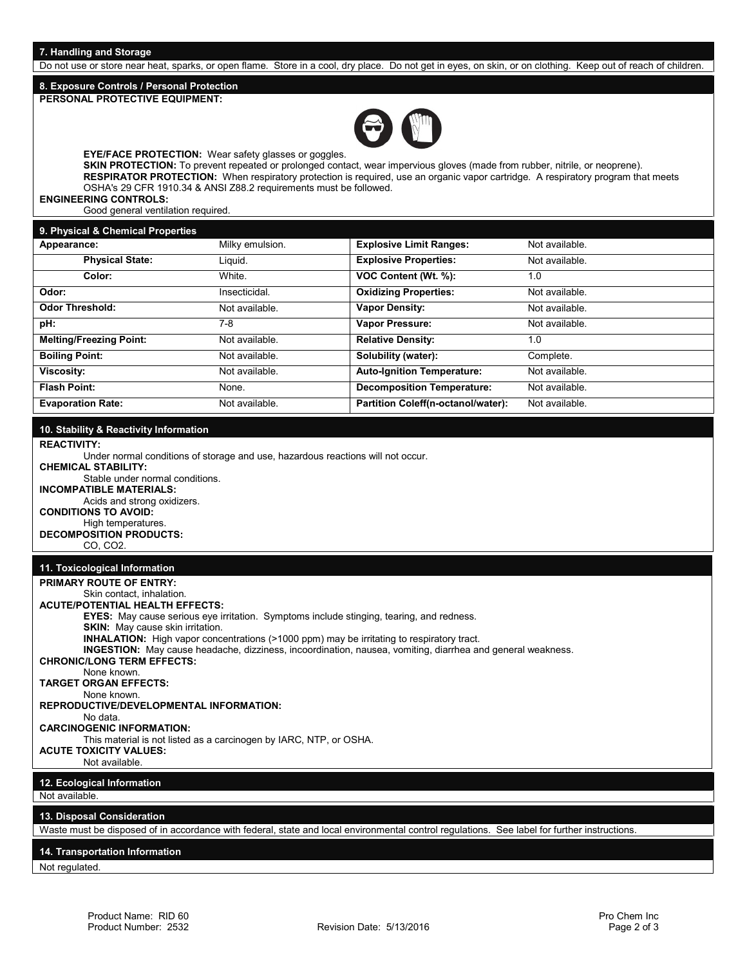Do not use or store near heat, sparks, or open flame. Store in a cool, dry place. Do not get in eyes, on skin, or on clothing. Keep out of reach of children.

## **8. Exposure Controls / Personal Protection**

**PERSONAL PROTECTIVE EQUIPMENT:**



**EYE/FACE PROTECTION:** Wear safety glasses or goggles.

**SKIN PROTECTION:** To prevent repeated or prolonged contact, wear impervious gloves (made from rubber, nitrile, or neoprene). **RESPIRATOR PROTECTION:** When respiratory protection is required, use an organic vapor cartridge. A respiratory program that meets OSHA's 29 CFR 1910.34 & ANSI Z88.2 requirements must be followed.

**ENGINEERING CONTROLS:**

Good general ventilation required.

| 9. Physical & Chemical Properties |                 |                                    |                |
|-----------------------------------|-----------------|------------------------------------|----------------|
| Appearance:                       | Milky emulsion. | <b>Explosive Limit Ranges:</b>     | Not available. |
| <b>Physical State:</b>            | Liquid.         | <b>Explosive Properties:</b>       | Not available. |
| Color:                            | White.          | VOC Content (Wt. %):               | 1.0            |
| Odor:                             | Insecticidal.   | <b>Oxidizing Properties:</b>       | Not available. |
| <b>Odor Threshold:</b>            | Not available.  | <b>Vapor Density:</b>              | Not available. |
| pH:                               | 7-8             | <b>Vapor Pressure:</b>             | Not available. |
| <b>Melting/Freezing Point:</b>    | Not available.  | <b>Relative Density:</b>           | 1.0            |
| <b>Boiling Point:</b>             | Not available.  | Solubility (water):                | Complete.      |
| <b>Viscosity:</b>                 | Not available.  | <b>Auto-Ignition Temperature:</b>  | Not available. |
| <b>Flash Point:</b>               | None.           | <b>Decomposition Temperature:</b>  | Not available. |
| <b>Evaporation Rate:</b>          | Not available.  | Partition Coleff(n-octanol/water): | Not available. |

### **10. Stability & Reactivity Information**

**REACTIVITY:**

Under normal conditions of storage and use, hazardous reactions will not occur.

**CHEMICAL STABILITY:**  Stable under normal conditions. **INCOMPATIBLE MATERIALS:** Acids and strong oxidizers.

**CONDITIONS TO AVOID:**  High temperatures. **DECOMPOSITION PRODUCTS:**

CO, CO2.

### **11. Toxicological Information**

**PRIMARY ROUTE OF ENTRY:**  Skin contact, inhalation. **ACUTE/POTENTIAL HEALTH EFFECTS: EYES:** May cause serious eye irritation. Symptoms include stinging, tearing, and redness. **SKIN:** May cause skin irritation. **INHALATION:** High vapor concentrations (>1000 ppm) may be irritating to respiratory tract. **INGESTION:** May cause headache, dizziness, incoordination, nausea, vomiting, diarrhea and general weakness. **CHRONIC/LONG TERM EFFECTS:** None known. **TARGET ORGAN EFFECTS:**  None known. **REPRODUCTIVE/DEVELOPMENTAL INFORMATION:** No data. **CARCINOGENIC INFORMATION:**  This material is not listed as a carcinogen by IARC, NTP, or OSHA. **ACUTE TOXICITY VALUES:** Not available. **12. Ecological Information** Not available.

# **13. Disposal Consideration**

Waste must be disposed of in accordance with federal, state and local environmental control regulations. See label for further instructions.

### **14. Transportation Information**

Not regulated.